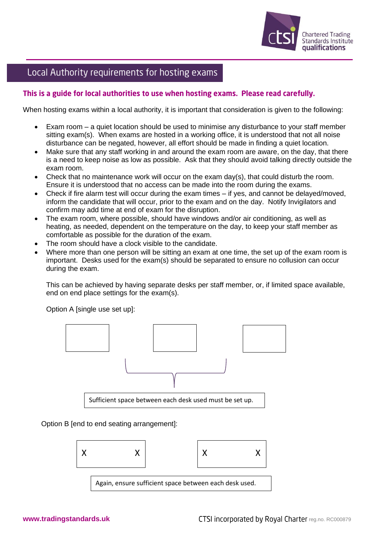

## Local Authority requirements for hosting exams

## This is a guide for local authorities to use when hosting exams. Please read carefully.

When hosting exams within a local authority, it is important that consideration is given to the following:

- Exam room a quiet location should be used to minimise any disturbance to your staff member sitting exam(s). When exams are hosted in a working office, it is understood that not all noise disturbance can be negated, however, all effort should be made in finding a quiet location.
- Make sure that any staff working in and around the exam room are aware, on the day, that there is a need to keep noise as low as possible. Ask that they should avoid talking directly outside the exam room.
- Check that no maintenance work will occur on the exam day(s), that could disturb the room. Ensure it is understood that no access can be made into the room during the exams.
- Check if fire alarm test will occur during the exam times if yes, and cannot be delayed/moved, inform the candidate that will occur, prior to the exam and on the day. Notify Invigilators and confirm may add time at end of exam for the disruption.
- The exam room, where possible, should have windows and/or air conditioning, as well as heating, as needed, dependent on the temperature on the day, to keep your staff member as comfortable as possible for the duration of the exam.
- The room should have a clock visible to the candidate.
- Where more than one person will be sitting an exam at one time, the set up of the exam room is important. Desks used for the exam(s) should be separated to ensure no collusion can occur during the exam.

This can be achieved by having separate desks per staff member, or, if limited space available, end on end place settings for the exam(s).

Option A [single use set up]:



Option B [end to end seating arrangement]: